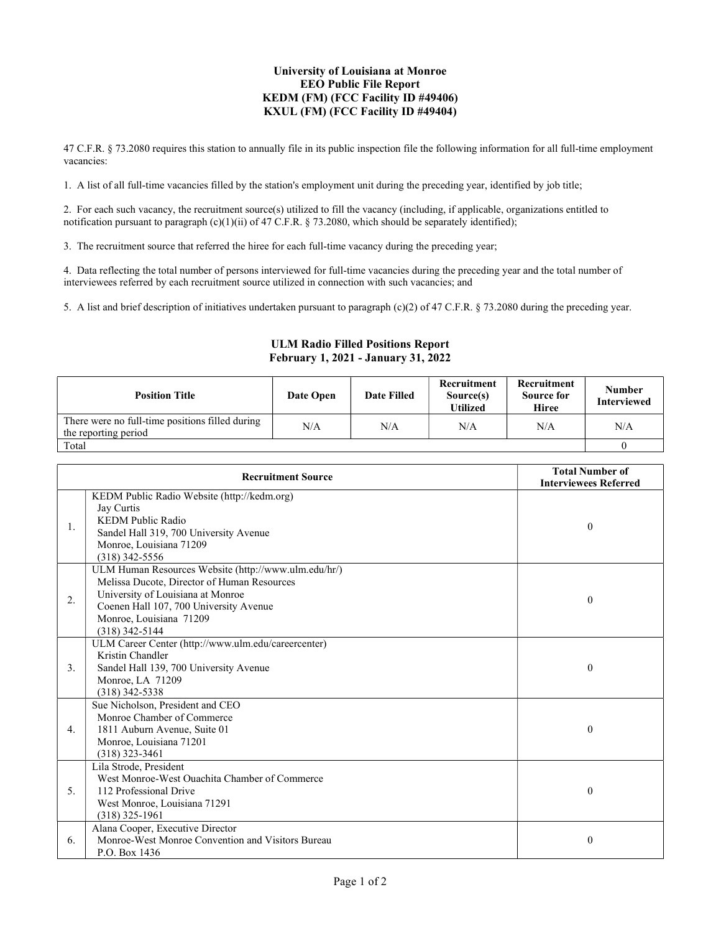## University of Louisiana at Monroe EEO Public File Report KEDM (FM) (FCC Facility ID #49406) KXUL (FM) (FCC Facility ID #49404)

47 C.F.R. § 73.2080 requires this station to annually file in its public inspection file the following information for all full-time employment vacancies:

1. A list of all full-time vacancies filled by the station's employment unit during the preceding year, identified by job title;

2. For each such vacancy, the recruitment source(s) utilized to fill the vacancy (including, if applicable, organizations entitled to notification pursuant to paragraph (c)(1)(ii) of 47 C.F.R. § 73.2080, which should be separately identified);

3. The recruitment source that referred the hiree for each full-time vacancy during the preceding year;

4. Data reflecting the total number of persons interviewed for full-time vacancies during the preceding year and the total number of interviewees referred by each recruitment source utilized in connection with such vacancies; and

5. A list and brief description of initiatives undertaken pursuant to paragraph (c)(2) of 47 C.F.R. § 73.2080 during the preceding year.

## ULM Radio Filled Positions Report February 1, 2021 - January 31, 2022

| <b>Position Title</b>                                                   | Date Open | <b>Date Filled</b> | Recruitment<br>Source(s)<br>Utilized | Recruitment<br>Source for<br>Hiree | <b>Number</b><br><b>Interviewed</b> |
|-------------------------------------------------------------------------|-----------|--------------------|--------------------------------------|------------------------------------|-------------------------------------|
| There were no full-time positions filled during<br>the reporting period | N/A       | N/A                | N/A                                  | N/A                                | N/A                                 |
| Total                                                                   |           |                    |                                      |                                    |                                     |

| <b>Recruitment Source</b> |                                                                                                                                                                                                                                   | <b>Total Number of</b><br><b>Interviewees Referred</b> |
|---------------------------|-----------------------------------------------------------------------------------------------------------------------------------------------------------------------------------------------------------------------------------|--------------------------------------------------------|
| 1.                        | KEDM Public Radio Website (http://kedm.org)<br>Jay Curtis<br>KEDM Public Radio<br>Sandel Hall 319, 700 University Avenue<br>Monroe, Louisiana 71209<br>$(318)$ 342-5556                                                           | $\theta$                                               |
| 2.                        | ULM Human Resources Website (http://www.ulm.edu/hr/)<br>Melissa Ducote, Director of Human Resources<br>University of Louisiana at Monroe<br>Coenen Hall 107, 700 University Avenue<br>Monroe, Louisiana 71209<br>$(318)$ 342-5144 | $\mathbf{0}$                                           |
| 3.                        | ULM Career Center (http://www.ulm.edu/careercenter)<br>Kristin Chandler<br>Sandel Hall 139, 700 University Avenue<br>Monroe, LA 71209<br>$(318)$ 342-5338                                                                         | $\theta$                                               |
| 4.                        | Sue Nicholson, President and CEO<br>Monroe Chamber of Commerce<br>1811 Auburn Avenue, Suite 01<br>Monroe, Louisiana 71201<br>$(318)$ 323-3461                                                                                     | $\theta$                                               |
| 5.                        | Lila Strode, President<br>West Monroe-West Ouachita Chamber of Commerce<br>112 Professional Drive<br>West Monroe, Louisiana 71291<br>$(318)$ 325-1961                                                                             | $\theta$                                               |
| 6.                        | Alana Cooper, Executive Director<br>Monroe-West Monroe Convention and Visitors Bureau<br>P.O. Box 1436                                                                                                                            | $\mathbf{0}$                                           |